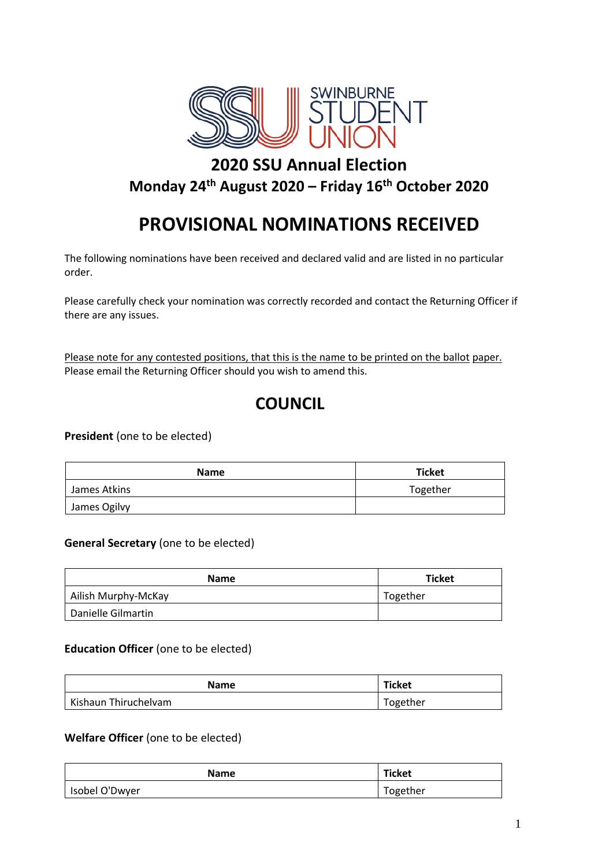

# **2020 SSU Annual Election Monday 24th August 2020 – Friday 16th October 2020**

# **PROVISIONAL NOMINATIONS RECEIVED**

The following nominations have been received and declared valid and are listed in no particular order.

Please carefully check your nomination was correctly recorded and contact the Returning Officer if there are any issues.

Please note for any contested positions, that this is the name to be printed on the ballot paper. Please email the Returning Officer should you wish to amend this.

# **COUNCIL**

**President** (one to be elected)

| <b>Name</b>  | <b>Ticket</b> |
|--------------|---------------|
| James Atkins | Together      |
| James Ogilvy |               |

#### **General Secretary** (one to be elected)

| <b>Name</b>         | <b>Ticket</b> |
|---------------------|---------------|
| Ailish Murphy-McKay | Together      |
| Danielle Gilmartin  |               |

#### **Education Officer** (one to be elected)

| <b>Name</b>          | <b>Ticket</b> |
|----------------------|---------------|
| Kishaun Thiruchelvam | Together      |

#### **Welfare Officer** (one to be elected)

| <b>Name</b>    | Ticket   |
|----------------|----------|
| Isobel O'Dwyer | Together |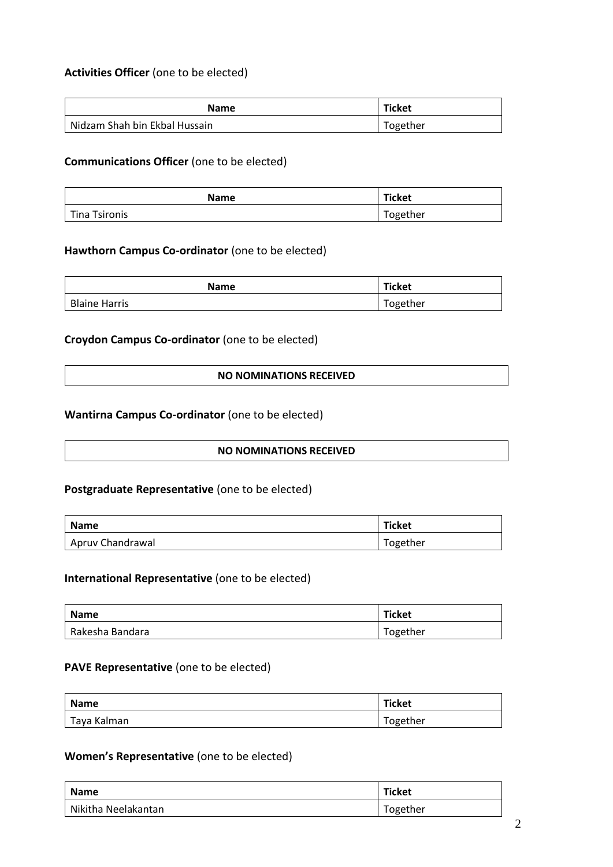# **Activities Officer** (one to be elected)

| <b>Name</b>                   | Ticket   |
|-------------------------------|----------|
| Nidzam Shah bin Ekbal Hussain | Together |

#### **Communications Officer** (one to be elected)

| <b>Name</b>          | <b>Ticket</b> |
|----------------------|---------------|
| <b>Tina Tsironis</b> | Together      |

#### **Hawthorn Campus Co-ordinator** (one to be elected)

| Name                 | Ticket   |
|----------------------|----------|
| <b>Blaine Harris</b> | Together |

#### **Croydon Campus Co-ordinator** (one to be elected)

**NO NOMINATIONS RECEIVED**

#### **Wantirna Campus Co-ordinator** (one to be elected)

#### **NO NOMINATIONS RECEIVED**

#### **Postgraduate Representative** (one to be elected)

| <b>Name</b>      | Ticket   |
|------------------|----------|
| Apruv Chandrawal | Together |

#### **International Representative** (one to be elected)

| <b>Name</b>     | Ticket   |
|-----------------|----------|
| Rakesha Bandara | Together |

#### **PAVE Representative** (one to be elected)

| <b>Name</b> | <b>Ticket</b> |
|-------------|---------------|
| Taya Kalman | Together      |

# **Women's Representative** (one to be elected)

| <b>Name</b>         | <b>Ticket</b> |
|---------------------|---------------|
| Nikitha Neelakantan | Together      |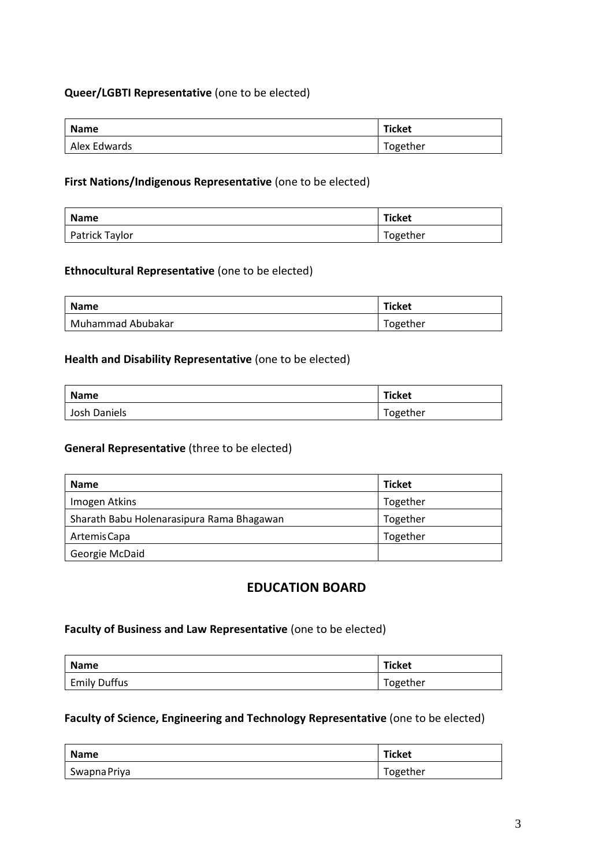# **Queer/LGBTI Representative** (one to be elected)

| <b>Name</b>  | <b>Ticket</b> |
|--------------|---------------|
| Alex Edwards | Together      |

## **First Nations/Indigenous Representative** (one to be elected)

| <b>Name</b>    | Ticket   |
|----------------|----------|
| Patrick Taylor | Together |

#### **Ethnocultural Representative** (one to be elected)

| <b>Name</b>       | Ticket   |
|-------------------|----------|
| Muhammad Abubakar | Together |

#### **Health and Disability Representative** (one to be elected)

| <b>Name</b>  | <b>Ticket</b> |
|--------------|---------------|
| Josh Daniels | Together      |

#### **General Representative** (three to be elected)

| <b>Name</b>                               | <b>Ticket</b> |
|-------------------------------------------|---------------|
| Imogen Atkins                             | Together      |
| Sharath Babu Holenarasipura Rama Bhagawan | Together      |
| Artemis Capa                              | Together      |
| Georgie McDaid                            |               |

# **EDUCATION BOARD**

#### **Faculty of Business and Law Representative** (one to be elected)

| Name                | Ticket   |
|---------------------|----------|
| <b>Emily Duffus</b> | Together |

## **Faculty of Science, Engineering and Technology Representative** (one to be elected)

| Name         | Ticket   |
|--------------|----------|
| Swapna Priya | Together |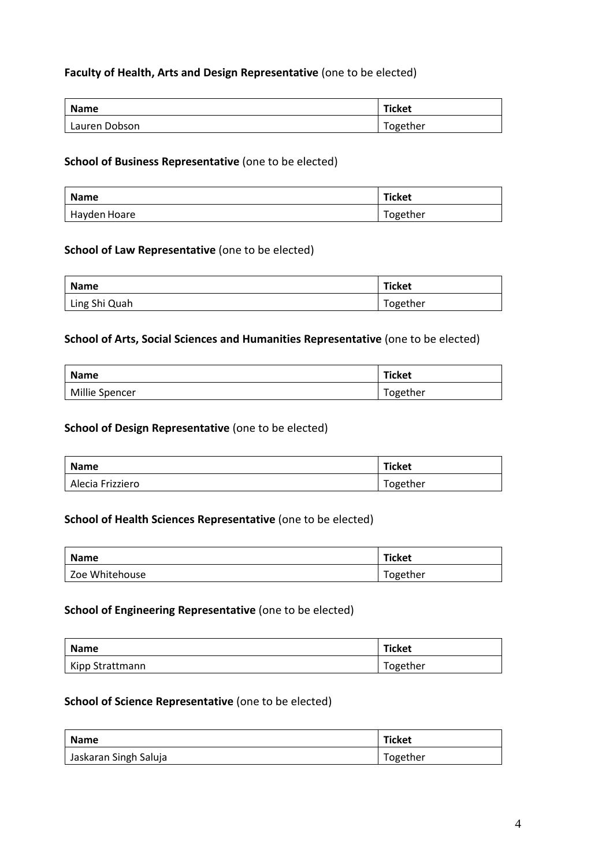# **Faculty of Health, Arts and Design Representative** (one to be elected)

| <b>Name</b>   | <b>Ticket</b> |
|---------------|---------------|
| Lauren Dobson | Together      |

#### **School of Business Representative** (one to be elected)

| <b>Name</b>  | <b>Ticket</b> |
|--------------|---------------|
| Hayden Hoare | Together      |

# **School of Law Representative** (one to be elected)

| <b>Name</b>   | Ticket   |
|---------------|----------|
| Ling Shi Quah | Together |

#### **School of Arts, Social Sciences and Humanities Representative** (one to be elected)

| <b>Name</b>    | <b>Ticket</b> |
|----------------|---------------|
| Millie Spencer | Together      |

#### **School of Design Representative** (one to be elected)

| <b>Name</b>      | <b>Ticket</b> |
|------------------|---------------|
| Alecia Frizziero | Together      |

#### **School of Health Sciences Representative** (one to be elected)

| <b>Name</b>    | Ticket   |
|----------------|----------|
| Zoe Whitehouse | Together |

#### **School of Engineering Representative** (one to be elected)

| <b>Name</b>     | Ticket   |
|-----------------|----------|
| Kipp Strattmann | Together |

#### **School of Science Representative** (one to be elected)

| <b>Name</b>           | <b>Ticket</b> |
|-----------------------|---------------|
| Jaskaran Singh Saluja | Together      |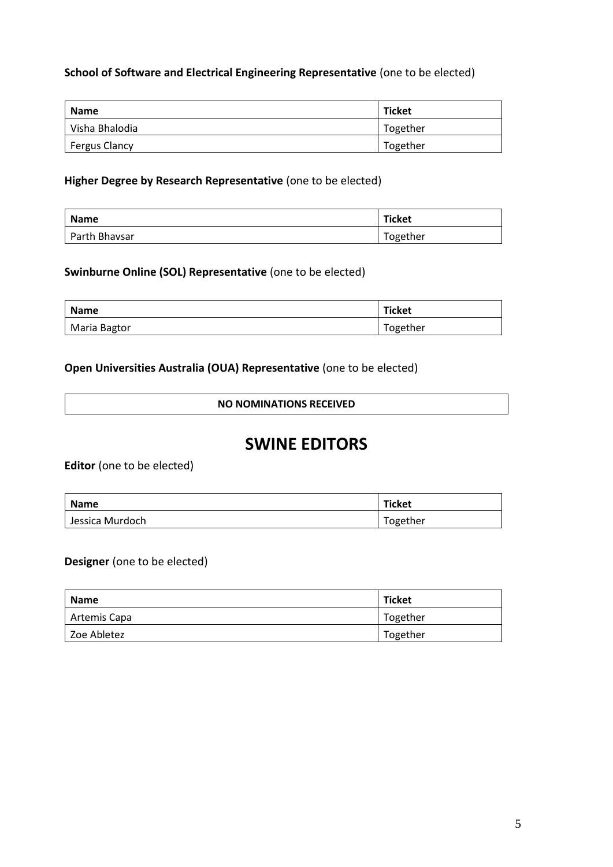# **School of Software and Electrical Engineering Representative** (one to be elected)

| <b>Name</b>          | <b>Ticket</b> |
|----------------------|---------------|
| Visha Bhalodia       | Together      |
| <b>Fergus Clancy</b> | Together      |

### **Higher Degree by Research Representative** (one to be elected)

| <b>Name</b>   | Ticket   |
|---------------|----------|
| Parth Bhavsar | Together |

### **Swinburne Online (SOL) Representative** (one to be elected)

| Name         | Ticket   |
|--------------|----------|
| Maria Bagtor | Together |

## **Open Universities Australia (OUA) Representative** (one to be elected)

#### **NO NOMINATIONS RECEIVED**

# **SWINE EDITORS**

**Editor** (one to be elected)

| Name            | Ticket   |
|-----------------|----------|
| Jessica Murdoch | Together |

#### **Designer** (one to be elected)

| Name         | <b>Ticket</b> |
|--------------|---------------|
| Artemis Capa | Together      |
| Zoe Abletez  | Together      |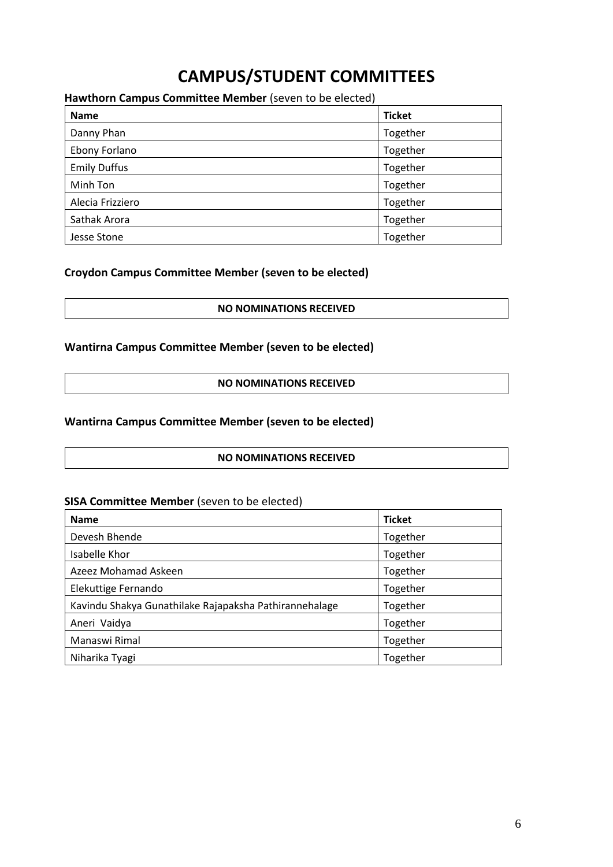# **CAMPUS/STUDENT COMMITTEES**

# **Hawthorn Campus Committee Member** (seven to be elected)

| <b>Name</b>         | <b>Ticket</b> |
|---------------------|---------------|
| Danny Phan          | Together      |
| Ebony Forlano       | Together      |
| <b>Emily Duffus</b> | Together      |
| Minh Ton            | Together      |
| Alecia Frizziero    | Together      |
| Sathak Arora        | Together      |
| Jesse Stone         | Together      |

# **Croydon Campus Committee Member (seven to be elected)**

**NO NOMINATIONS RECEIVED**

# **Wantirna Campus Committee Member (seven to be elected)**

**NO NOMINATIONS RECEIVED**

# **Wantirna Campus Committee Member (seven to be elected)**

#### **NO NOMINATIONS RECEIVED**

#### **SISA Committee Member** (seven to be elected)

| <b>Name</b>                                            | <b>Ticket</b> |
|--------------------------------------------------------|---------------|
| Devesh Bhende                                          | Together      |
| Isabelle Khor                                          | Together      |
| Azeez Mohamad Askeen                                   | Together      |
| Elekuttige Fernando                                    | Together      |
| Kavindu Shakya Gunathilake Rajapaksha Pathirannehalage | Together      |
| Aneri Vaidya                                           | Together      |
| Manaswi Rimal                                          | Together      |
| Niharika Tyagi                                         | Together      |